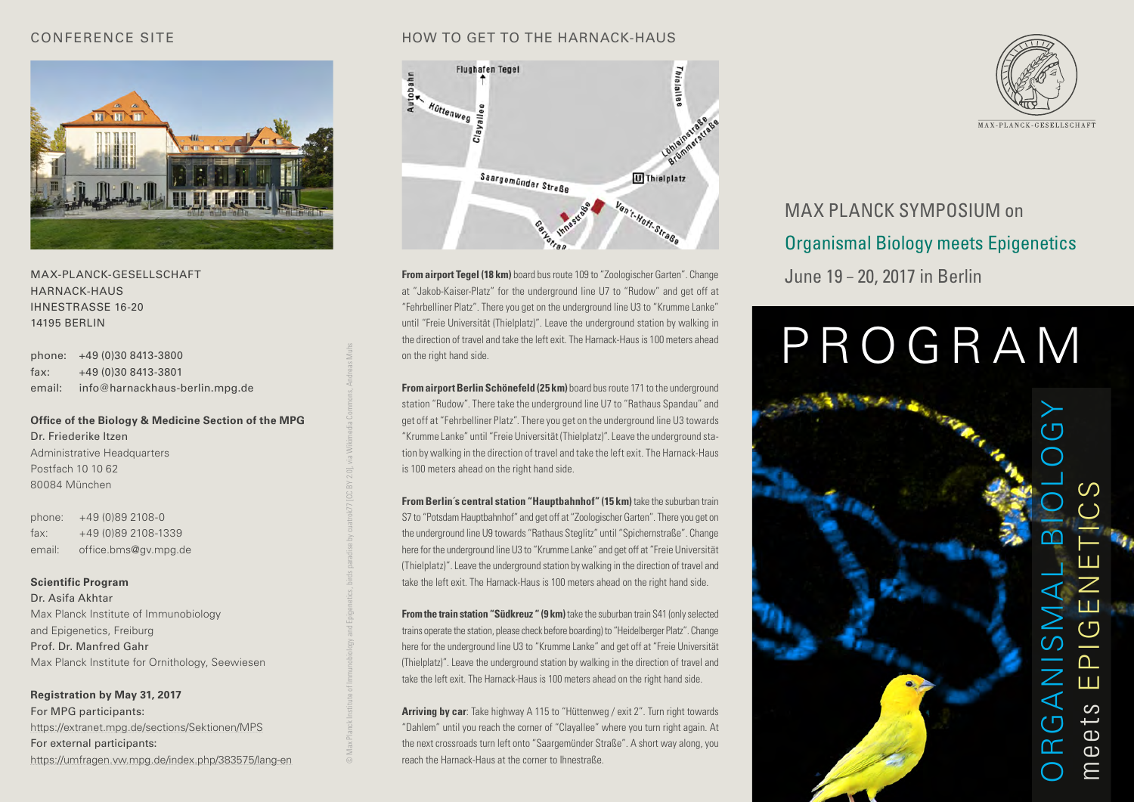#### CONFERENCE SITE



MAX-PLANCK-GESELLSCHAFT HARNACK-HAUS IHNESTRASSE 16-20 14195 BERLIN

phone: +49 (0)30 8413-3800 fax: +49 (0)30 8413-3801 email: info@harnackhaus-berlin.mpg.de

**Office of the Biology & Medicine Section of the MPG** Dr. Friederike Itzen Administrative Headquarters Postfach 10 10 62 80084 München

© Max Planck Institute of Immunobiology and Epigenetics, birds paradise by cuatrok77 [CC BY 2.0], via Wikimedia Commons, Andreas Muhs

phone: +49 (0)89 2108-0 fax: +49 (0)89 2108-1339 email: office.bms@gv.mpg.de

#### **Scientific Program**

Dr. Asifa Akhtar Max Planck Institute of Immunobiology and Epigenetics, Freiburg Prof. Dr. Manfred Gahr Max Planck Institute for Ornithology, Seewiesen

**Registration by May 31, 2017** For MPG participants: https://extranet.mpg.de/sections/Sektionen/MPS For external participants: https://umfragen.vw.mpg.de/index.php/383575/lang-en

#### HOW TO GET TO THE HARNACK-HAUS



**From airport Tegel (18 km)** board bus route 109 to "Zoologischer Garten". Change at "Jakob-Kaiser-Platz" for the underground line U7 to "Rudow" and get off at "Fehrbelliner Platz". There you get on the underground line U3 to "Krumme Lanke" until "Freie Universität (Thielplatz)". Leave the underground station by walking in the direction of travel and take the left exit. The Harnack-Haus is 100 meters ahead on the right hand side.

**From airport Berlin Schönefeld (25 km)** board bus route 171 to the underground station "Rudow". There take the underground line U7 to "Rathaus Spandau" and get off at "Fehrbelliner Platz". There you get on the underground line U3 towards "Krumme Lanke" until "Freie Universität (Thielplatz)". Leave the underground station by walking in the direction of travel and take the left exit. The Harnack-Haus is 100 meters ahead on the right hand side.

**From Berlin's central station "Hauptbahnhof" (15 km)** take the suburban train S7 to "Potsdam Hauptbahnhof" and get off at "Zoologischer Garten". There you get on the underground line U9 towards "Rathaus Steglitz" until "Spichernstraße". Change here for the underground line U3 to "Krumme Lanke" and get off at "Freie Universität (Thielplatz)". Leave the underground station by walking in the direction of travel and take the left exit. The Harnack-Haus is 100 meters ahead on the right hand side.

**From the train station "Südkreuz " (9 km)** take the suburban train S41 (only selected trains operate the station, please check before boarding) to "Heidelberger Platz". Change here for the underground line U3 to "Krumme Lanke" and get off at "Freie Universität (Thielplatz)". Leave the underground station by walking in the direction of travel and take the left exit. The Harnack-Haus is 100 meters ahead on the right hand side.

**Arriving by car**: Take highway A 115 to "Hüttenweg / exit 2". Turn right towards "Dahlem" until you reach the corner of "Clayallee" where you turn right again. At the next crossroads turn left onto "Saargemünder Straße". A short way along, you reach the Harnack-Haus at the corner to Ihnestraße.



# MAX PLANCK SYMPOSIUM on Organismal Biology meets Epigenetics June 19 – 20, 2017 in Berlin

# PROGRAM

ORGANISMAL BIOLOGY  $\Omega$ meets EPIGENETICS Ш  $\overline{\mathcal{O}}$  $\cap$  $\boldsymbol{\mathcal{Z}}$ Ш ◁ တ ئب ്വ  $\overline{a}$